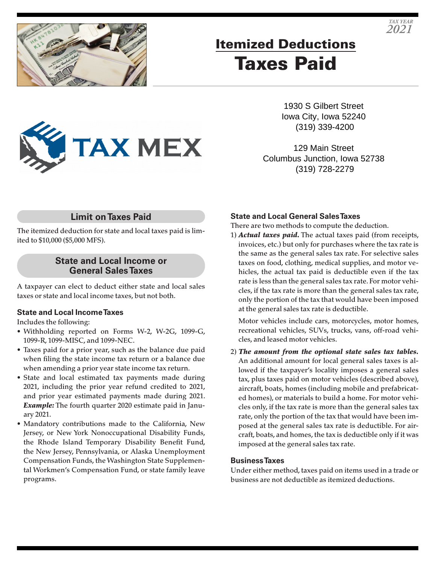

# Itemized Deductions Taxes Paid

1930 S Gilbert Street Iowa City, Iowa 52240 (319) 339-4200

129 Main Street Columbus Junction, Iowa 52738 (319) 728-2279

## **Limit on Taxes Paid**

**TAX MEX** 

The itemized deduction for state and local taxes paid is limited to \$10,000 (\$5,000 MFS).

### **State and Local Income or General Sales Taxes**

A taxpayer can elect to deduct either state and local sales taxes or state and local income taxes, but not both.

#### **State and Local Income Taxes**

Includes the following:

- Withholding reported on Forms W-2, W-2G, 1099-G, 1099-R, 1099-MISC, and 1099-NEC.
- Taxes paid for a prior year, such as the balance due paid when filing the state income tax return or a balance due when amending a prior year state income tax return.
- State and local estimated tax payments made during 2021, including the prior year refund credited to 2021, and prior year estimated payments made during 2021. *Example:* The fourth quarter 2020 estimate paid in January 2021.
- Mandatory contributions made to the California, New Jersey, or New York Nonoccupational Disability Funds, the Rhode Island Temporary Disability Benefit Fund, the New Jersey, Pennsylvania, or Alaska Unemployment Compensation Funds, the Washington State Supplemental Workmen's Compensation Fund, or state family leave programs.

#### **State and Local General Sales Taxes**

There are two methods to compute the deduction.

1) *Actual taxes paid.* The actual taxes paid (from receipts, invoices, etc.) but only for purchases where the tax rate is the same as the general sales tax rate. For selective sales taxes on food, clothing, medical supplies, and motor vehicles, the actual tax paid is deductible even if the tax rate is less than the general sales tax rate. For motor vehicles, if the tax rate is more than the general sales tax rate, only the portion of the tax that would have been imposed at the general sales tax rate is deductible.

Motor vehicles include cars, motorcycles, motor homes, recreational vehicles, SUVs, trucks, vans, off-road vehicles, and leased motor vehicles.

2) *The amount from the optional state sales tax tables.* An additional amount for local general sales taxes is allowed if the taxpayer's locality imposes a general sales tax, plus taxes paid on motor vehicles (described above), aircraft, boats, homes (including mobile and prefabricated homes), or materials to build a home. For motor vehicles only, if the tax rate is more than the general sales tax rate, only the portion of the tax that would have been imposed at the general sales tax rate is deductible. For aircraft, boats, and homes, the tax is deductible only if it was imposed at the general sales tax rate.

#### **Business Taxes**

Under either method, taxes paid on items used in a trade or business are not deductible as itemized deductions.

*TAX YEAR 2021*